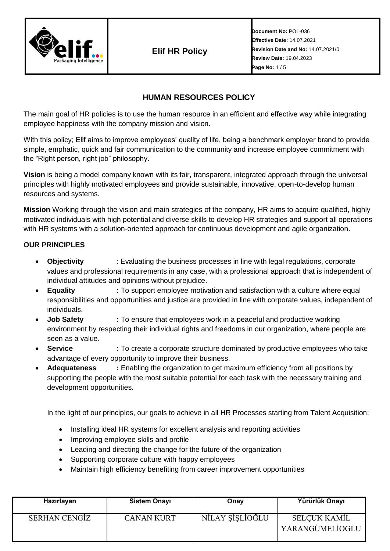

**Elif HR Policy**

**Document No:** POL-036 **Effective Date:** 14.07.2021 **Revision Date and No:** 14.07.2021/0 **Review Date:** 19.04.2023 **Page No:** 1 / 5

# **HUMAN RESOURCES POLICY**

The main goal of HR policies is to use the human resource in an efficient and effective way while integrating employee happiness with the company mission and vision.

With this policy; Elif aims to improve employees' quality of life, being a benchmark employer brand to provide simple, emphatic, quick and fair communication to the community and increase employee commitment with the "Right person, right job" philosophy.

**Vision** is being a model company known with its fair, transparent, integrated approach through the universal principles with highly motivated employees and provide sustainable, innovative, open-to-develop human resources and systems.

**Mission** Working through the vision and main strategies of the company, HR aims to acquire qualified, highly motivated individuals with high potential and diverse skills to develop HR strategies and support all operations with HR systems with a solution-oriented approach for continuous development and agile organization.

## **OUR PRINCIPLES**

- **Objectivity** : Evaluating the business processes in line with legal regulations, corporate values and professional requirements in any case, with a professional approach that is independent of individual attitudes and opinions without prejudice.
- **Equality :** To support employee motivation and satisfaction with a culture where equal responsibilities and opportunities and justice are provided in line with corporate values, independent of individuals.
- **Job Safety :** To ensure that employees work in a peaceful and productive working environment by respecting their individual rights and freedoms in our organization, where people are seen as a value.
- **Service :** To create a corporate structure dominated by productive employees who take advantage of every opportunity to improve their business.
- **Adequateness** : Enabling the organization to get maximum efficiency from all positions by supporting the people with the most suitable potential for each task with the necessary training and development opportunities.

In the light of our principles, our goals to achieve in all HR Processes starting from Talent Acquisition;

- Installing ideal HR systems for excellent analysis and reporting activities
- Improving employee skills and profile
- Leading and directing the change for the future of the organization
- Supporting corporate culture with happy employees
- Maintain high efficiency benefiting from career improvement opportunities

| Hazırlayan           | <b>Sistem Onayı</b> | Onay            | Yürürlük Onayı                  |
|----------------------|---------------------|-----------------|---------------------------------|
| <b>SERHAN CENGIZ</b> | <b>CANAN KURT</b>   | NİLAY ŞİŞLİOĞLU | SELÇUK KAMİL<br>YARANGÜMELİOGLU |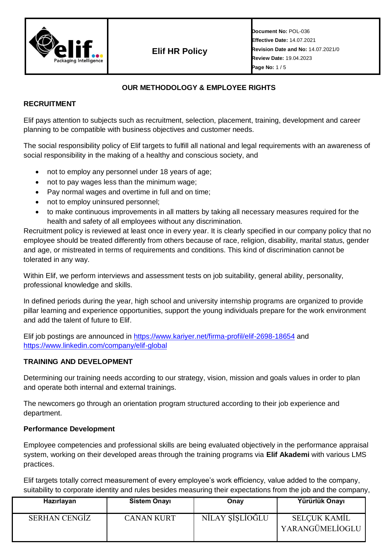

**Elif HR Policy**

**Document No:** POL-036 **Effective Date:** 14.07.2021 **Revision Date and No:** 14.07.2021/0 **Review Date:** 19.04.2023 **Page No:** 1 / 5

## **OUR METHODOLOGY & EMPLOYEE RIGHTS**

## **RECRUITMENT**

Elif pays attention to subjects such as recruitment, selection, placement, training, development and career planning to be compatible with business objectives and customer needs.

The social responsibility policy of Elif targets to fulfill all national and legal requirements with an awareness of social responsibility in the making of a healthy and conscious society, and

- not to employ any personnel under 18 years of age;
- not to pay wages less than the minimum wage;
- Pay normal wages and overtime in full and on time;
- not to employ uninsured personnel;
- to make continuous improvements in all matters by taking all necessary measures required for the health and safety of all employees without any discrimination.

Recruitment policy is reviewed at least once in every year. It is clearly specified in our company policy that no employee should be treated differently from others because of race, religion, disability, marital status, gender and age, or mistreated in terms of requirements and conditions. This kind of discrimination cannot be tolerated in any way.

Within Elif, we perform interviews and assessment tests on job suitability, general ability, personality, professional knowledge and skills.

In defined periods during the year, high school and university internship programs are organized to provide pillar learning and experience opportunities, support the young individuals prepare for the work environment and add the talent of future to Elif.

Elif job postings are announced in<https://www.kariyer.net/firma-profil/elif-2698-18654> and <https://www.linkedin.com/company/elif-global>

## **TRAINING AND DEVELOPMENT**

Determining our training needs according to our strategy, vision, mission and goals values in order to plan and operate both internal and external trainings.

The newcomers go through an orientation program structured according to their job experience and department.

## **Performance Development**

Employee competencies and professional skills are being evaluated objectively in the performance appraisal system, working on their developed areas through the training programs via **Elif Akademi** with various LMS practices.

Elif targets totally correct measurement of every employee's work efficiency, value added to the company, suitability to corporate identity and rules besides measuring their expectations from the job and the company,

| Hazırlayan           | <b>Sistem Onayı</b> | Onay            | Yürürlük Onayı                         |
|----------------------|---------------------|-----------------|----------------------------------------|
| <b>SERHAN CENGIZ</b> | <b>CANAN KURT</b>   | NİLAY SİŞLİOĞLU | <b>SELÇUK KAMİL</b><br>YARANGÜMELİOGLU |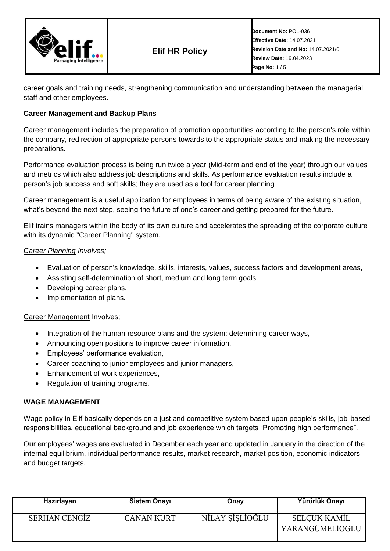

career goals and training needs, strengthening communication and understanding between the managerial staff and other employees.

## **Career Management and Backup Plans**

Career management includes the preparation of promotion opportunities according to the person's role within the company, redirection of appropriate persons towards to the appropriate status and making the necessary preparations.

Performance evaluation process is being run twice a year (Mid-term and end of the year) through our values and metrics which also address job descriptions and skills. As performance evaluation results include a person's job success and soft skills; they are used as a tool for career planning.

Career management is a useful application for employees in terms of being aware of the existing situation, what's beyond the next step, seeing the future of one's career and getting prepared for the future.

Elif trains managers within the body of its own culture and accelerates the spreading of the corporate culture with its dynamic "Career Planning" system.

### *Career Planning Involves;*

- Evaluation of person's knowledge, skills, interests, values, success factors and development areas,
- Assisting self-determination of short, medium and long term goals,
- Developing career plans,
- Implementation of plans.

### Career Management Involves;

- Integration of the human resource plans and the system; determining career ways,
- Announcing open positions to improve career information,
- Employees' performance evaluation,
- Career coaching to junior employees and junior managers,
- Enhancement of work experiences,
- Regulation of training programs.

#### **WAGE MANAGEMENT**

Wage policy in Elif basically depends on a just and competitive system based upon people's skills, job-based responsibilities, educational background and job experience which targets "Promoting high performance".

Our employees' wages are evaluated in December each year and updated in January in the direction of the internal equilibrium, individual performance results, market research, market position, economic indicators and budget targets.

| Hazırlayan           | <b>Sistem Onayı</b> | Onay            | Yürürlük Onayı                         |
|----------------------|---------------------|-----------------|----------------------------------------|
| <b>SERHAN CENGIZ</b> | <b>CANAN KURT</b>   | NÍLAY SÍSLÍOĞLU | <b>SELÇUK KAMİL</b><br>YARANGÜMELİOGLU |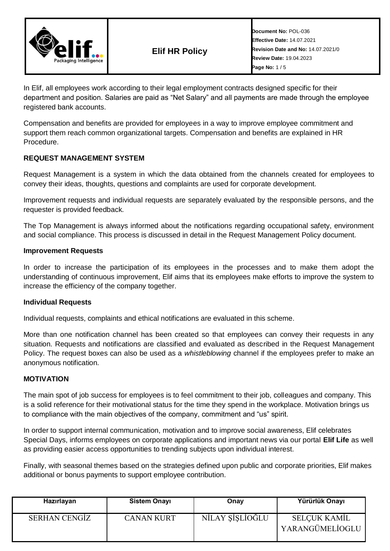

**Document No:** POL-036 **Effective Date:** 14.07.2021 **Revision Date and No:** 14.07.2021/0 **Review Date:** 19.04.2023 **Page No:** 1 / 5

In Elif, all employees work according to their legal employment contracts designed specific for their department and position. Salaries are paid as "Net Salary" and all payments are made through the employee registered bank accounts.

Compensation and benefits are provided for employees in a way to improve employee commitment and support them reach common organizational targets. Compensation and benefits are explained in HR Procedure.

## **REQUEST MANAGEMENT SYSTEM**

Request Management is a system in which the data obtained from the channels created for employees to convey their ideas, thoughts, questions and complaints are used for corporate development.

Improvement requests and individual requests are separately evaluated by the responsible persons, and the requester is provided feedback.

The Top Management is always informed about the notifications regarding occupational safety, environment and social compliance. This process is discussed in detail in the Request Management Policy document.

### **Improvement Requests**

In order to increase the participation of its employees in the processes and to make them adopt the understanding of continuous improvement, Elif aims that its employees make efforts to improve the system to increase the efficiency of the company together.

#### **Individual Requests**

Individual requests, complaints and ethical notifications are evaluated in this scheme.

More than one notification channel has been created so that employees can convey their requests in any situation. Requests and notifications are classified and evaluated as described in the Request Management Policy. The request boxes can also be used as a *whistleblowing* channel if the employees prefer to make an anonymous notification.

### **MOTIVATION**

The main spot of job success for employees is to feel commitment to their job, colleagues and company. This is a solid reference for their motivational status for the time they spend in the workplace. Motivation brings us to compliance with the main objectives of the company, commitment and "us" spirit.

In order to support internal communication, motivation and to improve social awareness, Elif celebrates Special Days, informs employees on corporate applications and important news via our portal **Elif Life** as well as providing easier access opportunities to trending subjects upon individual interest.

Finally, with seasonal themes based on the strategies defined upon public and corporate priorities, Elif makes additional or bonus payments to support employee contribution.

| Hazırlayan    | <b>Sistem Onayı</b> | Onay            | Yürürlük Onayı                  |
|---------------|---------------------|-----------------|---------------------------------|
| SERHAN CENGIZ | <b>CANAN KURT</b>   | NİLAY ŞİŞLİOĞLU | SELÇUK KAMİL<br>YARANGÜMELİOGLU |